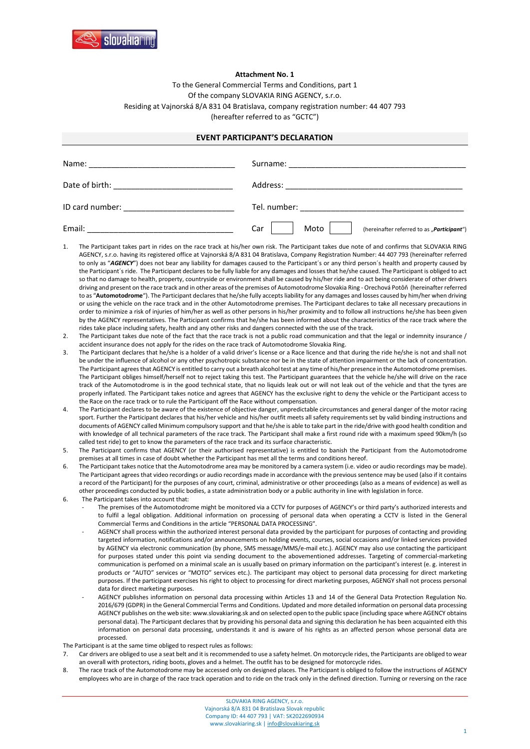

## **Attachment No. 1**

To the General Commercial Terms and Conditions, part 1 Of the company SLOVAKIA RING AGENCY, s.r.o. Residing at Vajnorská 8/A 831 04 Bratislava, company registration number: 44 407 793 (hereafter referred to as "GCTC")

## **EVENT PARTICIPANT'S DECLARATION**

| Name:                             | Surname:                                                                                                              |
|-----------------------------------|-----------------------------------------------------------------------------------------------------------------------|
|                                   |                                                                                                                       |
| Date of birth:                    | Address:                                                                                                              |
|                                   | <u> 1980 - Jan Berlin, margaret amerikan bestean di sebagai personal dan personal di sebagai personal di sebagai</u>  |
| ID card number:                   | Tel. number:                                                                                                          |
| the control of the control of the | <u> 1980 - Jan Barbara, martin da shekara 1980 - An tsa a tsa a tsa a tsa a tsa a tsa a tsa a tsa a tsa a tsa a t</u> |
| Email:                            | Moto<br>Car<br>(hereinafter referred to as "Participant")                                                             |

- The Participant takes part in rides on the race track at his/her own risk. The Participant takes due note of and confirms that SLOVAKIA RING AGENCY, s.r.o. having its registered office at Vajnorská 8/A 831 04 Bratislava, Company Registration Number: 44 407 793 (hereinafter referred to only as "*AGENCY*") does not bear any liability for damages caused to the Participant´s or any third person´s health and property caused by the Participant´s ride. The Participant declares to be fully liable for any damages and losses that he/she caused. The Participant is obliged to act so that no damage to health, property, countryside or environment shall be caused by his/her ride and to act being considerate of other drivers driving and present on the race track and in other areas of the premises of Automotodrome Slovakia Ring - Orechová Potôň (hereinafter referred to as "**Automotodrome**"). The Participant declares that he/she fully accepts liability for any damages and losses caused by him/her when driving or using the vehicle on the race track and in the other Automotodrome premises. The Participant declares to take all necessary precautions in order to minimize a risk of injuries of him/her as well as other persons in his/her proximity and to follow all instructions he/she has been given by the AGENCY representatives. The Participant confirms that he/she has been informed about the characteristics of the race track where the rides take place including safety, health and any other risks and dangers connected with the use of the track.
- 2. The Participant takes due note of the fact that the race track is not a public road communication and that the legal or indemnity insurance / accident insurance does not apply for the rides on the race track of Automotodrome Slovakia Ring.
- 3. The Participant declares that he/she is a holder of a valid driver's license or a Race licence and that during the ride he/she is not and shall not be under the influence of alcohol or any other psychotropic substance nor be in the state of attention impairment or the lack of concentration. The Participant agrees that AGENCY is entitled to carry out a breath alcohol test at any time of his/her presence in the Automotodrome premises. The Participant obliges himself/herself not to reject taking this test. The Participant guarantees that the vehicle he/she will drive on the race track of the Automotodrome is in the good technical state, that no liquids leak out or will not leak out of the vehicle and that the tyres are properly inflated. The Participant takes notice and agrees that AGENCY has the exclusive right to deny the vehicle or the Participant access to the Race on the race track or to rule the Participant off the Race without compensation.
- 4. The Participant declares to be aware of the existence of objective danger, unpredictable circumstances and general danger of the motor racing sport. Further the Participant declares that his/her vehicle and his/her outfit meets all safety requirements set by valid binding instructions and documents of AGENCY called Minimum compulsory support and that he/she is able to take part in the ride/drive with good health condition and with knowledge of all technical parameters of the race track. The Participant shall make a first round ride with a maximum speed 90km/h (so called test ride) to get to know the parameters of the race track and its surface characteristic.
- 5. The Participant confirms that AGENCY (or their authorised representative) is entitled to banish the Participant from the Automotodrome premises at all times in case of doubt whether the Participant has met all the terms and conditions hereof.
- 6. The Participant takes notice that the Automotodrome area may be monitored by a camera system (i.e. video or audio recordings may be made). The Participant agrees that video recordings or audio recordings made in accordance with the previous sentence may be used (also if it contains a record of the Participant) for the purposes of any court, criminal, administrative or other proceedings (also as a means of evidence) as well as other proceedings conducted by public bodies, a state administration body or a public authority in line with legislation in force.
- 6. The Participant takes into account that:
	- The premises of the Automotodrome might be monitored via a CCTV for purposes of AGENCY's or third party's authorized interests and to fulfil a legal obligation. Additional information on processing of personal data when operating a CCTV is listed in the General Commercial Terms and Conditions in the article "PERSONAL DATA PROCESSING".
	- AGENCY shall process within the authorized interest personal data provided by the participant for purposes of contacting and providing targeted information, notifications and/or announcements on holding events, courses, social occasions and/or linked services provided by AGENCY via electronic communication (by phone, SMS message/MMS/e-mail etc.). AGENCY may also use contacting the participant for purposes stated under this point via sending document to the abovementioned addresses. Targeting of commercial-marketing communication is perfomed on a minimal scale an is usually based on primary information on the participant's interest (e. g. interest in products or "AUTO" services or "MOTO" services etc.). The participant may object to personal data processing for direct marketing purposes. If the participant exercises his right to object to processing for direct marketing purposes, AGENGY shall not process personal data for direct marketing purposes.
	- AGENCY publishes information on personal data processing within Articles 13 and 14 of the General Data Protection Regulation No. 2016/679 (GDPR) in the General Commercial Terms and Conditions. Updated and more detailed information on personal data processing AGENCY publishes on the web site: www.slovakiaring.sk and on selected open to the public space (including space where AGENCY obtains personal data). The Participant declares that by providing his personal data and signing this declaration he has been acquainted eith this information on personal data processing, understands it and is aware of his rights as an affected person whose personal data are processed.

The Participant is at the same time obliged to respect rules as follows:

- 7. Car drivers are obliged to use a seat belt and it is recommended to use a safety helmet. On motorcycle rides, the Participants are obliged to wear an overall with protectors, riding boots, gloves and a helmet. The outfit has to be designed for motorcycle rides.
- 8. The race track of the Automotodrome may be accessed only on designed places. The Participant is obliged to follow the instructions of AGENCY employees who are in charge of the race track operation and to ride on the track only in the defined direction. Turning or reversing on the race